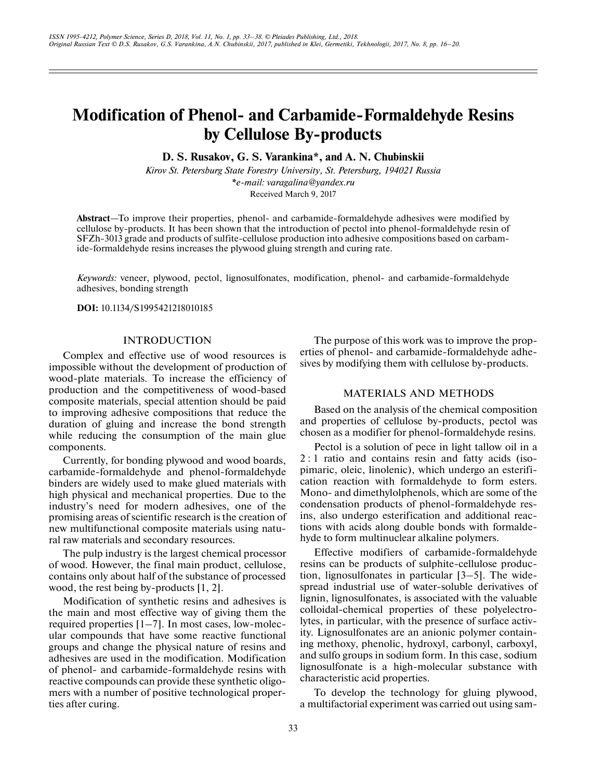# **Modification of Phenol- and Carbamide-Formaldehyde Resins by Cellulose By-products**

**D. S. Rusakov, G. S. Varankina\*, and A. N. Chubinskii**

*Kirov St. Petersburg State Forestry University, St. Petersburg, 194021 Russia \*e-mail: varagalina@yandex.ru* Received March 9, 2017

**Abstract**—To improve their properties, phenol- and carbamide-formaldehyde adhesives were modified by cellulose by-products. It has been shown that the introduction of pectol into phenol-formaldehyde resin of SFZh-3013 grade and products of sulfite-cellulose production into adhesive compositions based on carbamide-formaldehyde resins increases the plywood gluing strength and curing rate.

*Keywords:* veneer, plywood, pectol, lignosulfonates, modification, phenol- and carbamide-formaldehyde adhesives, bonding strength

**DOI:** 10.1134/S1995421218010185

## INTRODUCTION

Complex and effective use of wood resources is impossible without the development of production of wood-plate materials. To increase the efficiency of production and the competitiveness of wood-based composite materials, special attention should be paid to improving adhesive compositions that reduce the duration of gluing and increase the bond strength while reducing the consumption of the main glue components.

Currently, for bonding plywood and wood boards, carbamide-formaldehyde and phenol-formaldehyde binders are widely used to make glued materials with high physical and mechanical properties. Due to the industry's need for modern adhesives, one of the promising areas of scientific research is the creation of new multifunctional composite materials using natural raw materials and secondary resources.

The pulp industry is the largest chemical processor of wood. However, the final main product, cellulose, contains only about half of the substance of processed wood, the rest being by-products [1, 2].

Modification of synthetic resins and adhesives is the main and most effective way of giving them the required properties [1–7]. In most cases, low-molecular compounds that have some reactive functional groups and change the physical nature of resins and adhesives are used in the modification. Modification of phenol- and carbamide-formaldehyde resins with reactive compounds can provide these synthetic oligomers with a number of positive technological properties after curing.

The purpose of this work was to improve the properties of phenol- and carbamide-formaldehyde adhesives by modifying them with cellulose by-products.

## MATERIALS AND METHODS

Based on the analysis of the chemical composition and properties of cellulose by-products, pectol was chosen as a modifier for phenol-formaldehyde resins.

Pectol is a solution of pece in light tallow oil in a 2 : 1 ratio and contains resin and fatty acids (isopimaric, oleic, linolenic), which undergo an esterification reaction with formaldehyde to form esters. Mono- and dimethylolphenols, which are some of the condensation products of phenol-formaldehyde resins, also undergo esterification and additional reactions with acids along double bonds with formaldehyde to form multinuclear alkaline polymers.

Effective modifiers of carbamide-formaldehyde resins can be products of sulphite-cellulose production, lignosulfonates in particular [3–5]. The widespread industrial use of water-soluble derivatives of lignin, lignosulfonates, is associated with the valuable colloidal-chemical properties of these polyelectrolytes, in particular, with the presence of surface activity. Lignosulfonates are an anionic polymer containing methoxy, phenolic, hydroxyl, carbonyl, carboxyl, and sulfo groups in sodium form. In this case, sodium lignosulfonate is a high-molecular substance with characteristic acid properties.

To develop the technology for gluing plywood, a multifactorial experiment was carried out using sam-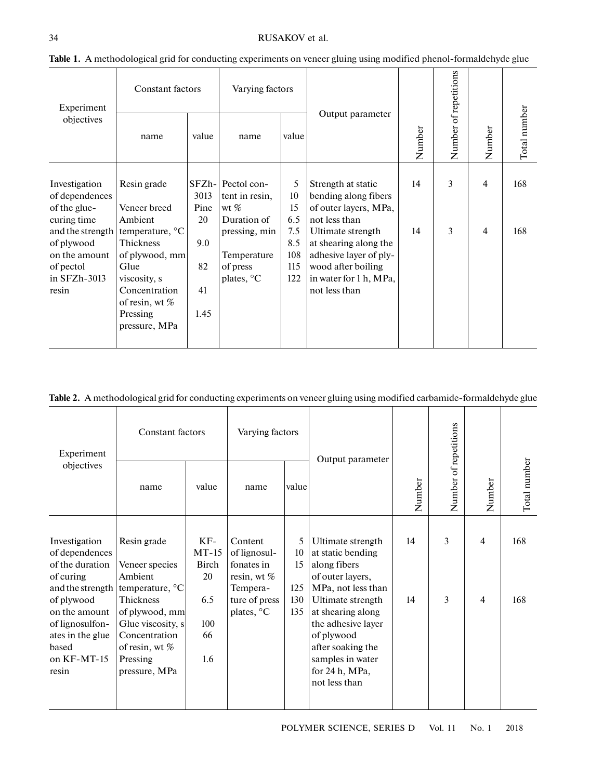| Experiment<br>objectives        | Constant factors                    |                 | Varying factors               |            |                                            |        |                       |                |              |
|---------------------------------|-------------------------------------|-----------------|-------------------------------|------------|--------------------------------------------|--------|-----------------------|----------------|--------------|
|                                 | name                                | value           | name                          | value      | Output parameter                           | Number | Number of repetitions | Number         | Total number |
| Investigation<br>of dependences | Resin grade                         | $SFZh-$<br>3013 | Pectol con-<br>tent in resin, | 5<br>10    | Strength at static<br>bending along fibers | 14     | 3                     | $\overline{4}$ | 168          |
| of the glue-                    | Veneer breed                        | Pine            | wt $%$                        | 15         | of outer layers, MPa,                      |        |                       |                |              |
| curing time                     | Ambient                             | 20              | Duration of                   | 6.5        | not less than                              |        |                       |                |              |
| and the strength<br>of plywood  | temperature, °C<br><b>Thickness</b> | 9.0             | pressing, min                 | 7.5<br>8.5 | Ultimate strength<br>at shearing along the | 14     | 3                     | $\overline{4}$ | 168          |
| on the amount                   | of plywood, mm                      |                 | Temperature                   | 108        | adhesive layer of ply-                     |        |                       |                |              |
| of pectol                       | Glue                                | 82              | of press                      | 115        | wood after boiling                         |        |                       |                |              |
| in SFZh-3013                    | viscosity, s                        |                 | plates, $\mathrm{C}$          | 122        | in water for 1 h, MPa,                     |        |                       |                |              |
| resin                           | Concentration<br>of resin, wt $\%$  | 41              |                               |            | not less than                              |        |                       |                |              |
|                                 | Pressing                            | 1.45            |                               |            |                                            |        |                       |                |              |
|                                 | pressure, MPa                       |                 |                               |            |                                            |        |                       |                |              |
|                                 |                                     |                 |                               |            |                                            |        |                       |                |              |

**Table 1.** A methodological grid for conducting experiments on veneer gluing using modified phenol-formaldehyde glue

| Experiment<br>objectives                                                                                                                                                            | <b>Constant factors</b>                                                                                                                                          |                                                                   | Varying factors                                                                                    |                                    | Output parameter                                                                                                                                                                                                        |          |                       |        |              |
|-------------------------------------------------------------------------------------------------------------------------------------------------------------------------------------|------------------------------------------------------------------------------------------------------------------------------------------------------------------|-------------------------------------------------------------------|----------------------------------------------------------------------------------------------------|------------------------------------|-------------------------------------------------------------------------------------------------------------------------------------------------------------------------------------------------------------------------|----------|-----------------------|--------|--------------|
|                                                                                                                                                                                     | name                                                                                                                                                             | value                                                             | name                                                                                               | value                              |                                                                                                                                                                                                                         | Number   | Number of repetitions | Number | Total number |
| Investigation<br>of dependences<br>of the duration<br>of curing<br>and the strength<br>of plywood<br>on the amount<br>of lignosulfon-<br>ates in the glue<br>based<br>on $KF-MT-15$ | Resin grade<br>Veneer species<br>Ambient<br>temperature, °C<br>Thickness<br>of plywood, mm<br>Glue viscosity, s<br>Concentration<br>of resin, wt $%$<br>Pressing | $KF-$<br>$MT-15$<br><b>Birch</b><br>20<br>6.5<br>100<br>66<br>1.6 | Content<br>of lignosul-<br>fonates in<br>resin, wt $\%$<br>Tempera-<br>ture of press<br>plates, °C | 5<br>10<br>15<br>125<br>130<br>135 | Ultimate strength<br>at static bending<br>along fibers<br>of outer layers,<br>MPa, not less than<br>Ultimate strength<br>at shearing along<br>the adhesive layer<br>of plywood<br>after soaking the<br>samples in water | 14<br>14 | 3<br>3                | 4<br>4 | 168<br>168   |
| resin                                                                                                                                                                               | pressure, MPa                                                                                                                                                    |                                                                   |                                                                                                    |                                    | for 24 h, MPa,<br>not less than                                                                                                                                                                                         |          |                       |        |              |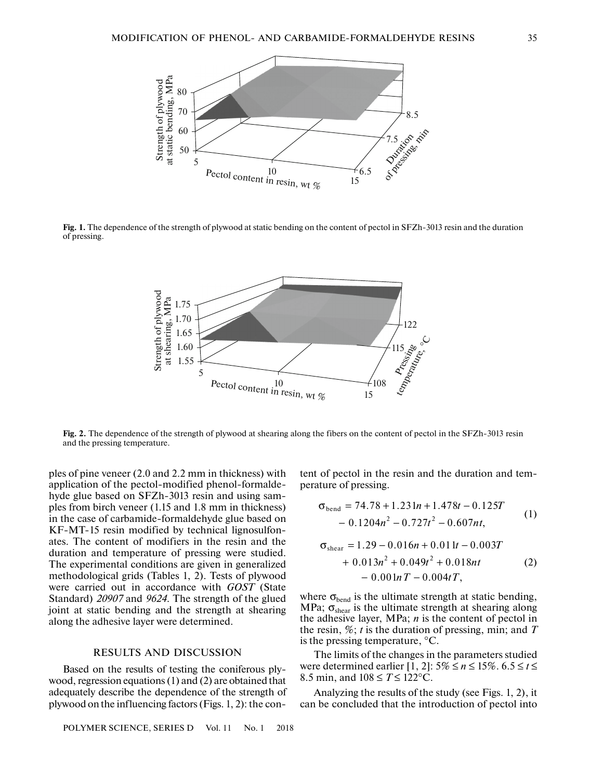

**Fig. 1.** The dependence of the strength of plywood at static bending on the content of pectol in SFZh-3013 resin and the duration of pressing.



**Fig. 2.** The dependence of the strength of plywood at shearing along the fibers on the content of pectol in the SFZh-3013 resin and the pressing temperature.

ples of pine veneer (2.0 and 2.2 mm in thickness) with application of the pectol-modified phenol-formaldehyde glue based on SFZh-3013 resin and using samples from birch veneer (1.15 and 1.8 mm in thickness) in the case of carbamide-formaldehyde glue based on KF-MT-15 resin modified by technical lignosulfonates. The content of modifiers in the resin and the duration and temperature of pressing were studied. The experimental conditions are given in generalized methodological grids (Tables 1, 2). Tests of plywood were carried out in accordance with *GOST* (State Standard) *20907* and *9624*. The strength of the glued joint at static bending and the strength at shearing along the adhesive layer were determined.

#### RESULTS AND DISCUSSION

Based on the results of testing the coniferous plywood, regression equations (1) and (2) are obtained that adequately describe the dependence of the strength of plywood on the influencing factors (Figs. 1, 2): the con-

POLYMER SCIENCE, SERIES D Vol. 11 No. 1 2018

tent of pectol in the resin and the duration and temperature of pressing.

$$
\sigma_{\text{bend}} = 74.78 + 1.231n + 1.478t - 0.125T
$$
  
- 0.1204n<sup>2</sup> - 0.727t<sup>2</sup> - 0.607nt, (1)

$$
\sigma_{\text{shear}} = 1.29 - 0.016n + 0.011t - 0.003T + 0.013n^2 + 0.049t^2 + 0.018nt
$$
 (2)  
- 0.001nT - 0.004tT,

where  $\sigma_{\text{bend}}$  is the ultimate strength at static bending, MPa;  $\sigma_{shear}$  is the ultimate strength at shearing along the adhesive layer, MPa; *n* is the content of pectol in the resin, %; *t* is the duration of pressing, min; and *T* is the pressing temperature, °C.

The limits of the changes in the parameters studied were determined earlier [1, 2]:  $5\%$  ≤ *n* ≤ 15%.  $6.5$  ≤ *t* ≤ 8.5 min, and  $108 \le T \le 122$ °C.

Analyzing the results of the study (see Figs. 1, 2), it can be concluded that the introduction of pectol into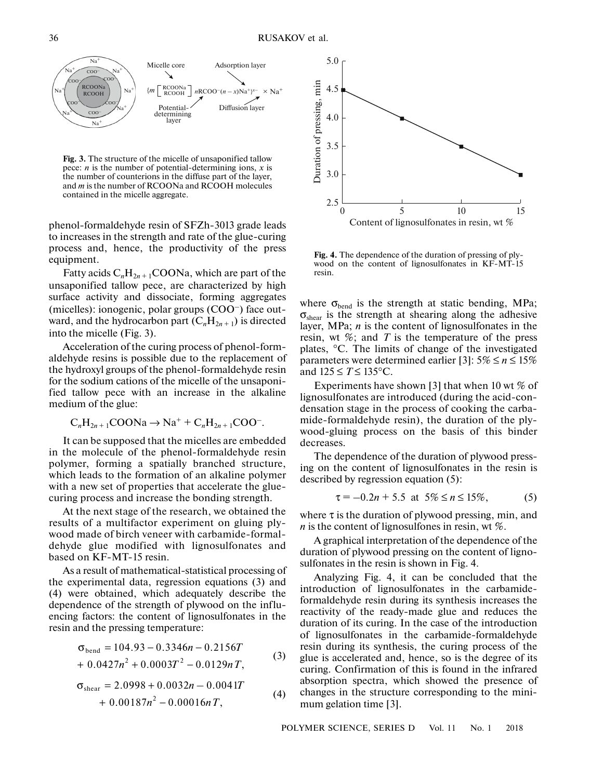

**Fig. 3.** The structure of the micelle of unsaponified tallow pece: *n* is the number of potential-determining ions, *x* is the number of counterions in the diffuse part of the layer, and *m* is the number of RCOONa and RCOOH molecules contained in the micelle aggregate.

phenol-formaldehyde resin of SFZh-3013 grade leads to increases in the strength and rate of the glue-curing process and, hence, the productivity of the press equipment.

Fatty acids  $C_nH_{2n+1}COONa$ , which are part of the unsaponified tallow pece, are characterized by high surface activity and dissociate, forming aggregates (micelles): ionogenic, polar groups (COO–) face outward, and the hydrocarbon part  $(C<sub>n</sub>H<sub>2*n*+1</sub>)$  is directed into the micelle (Fig. 3).

Acceleration of the curing process of phenol-formaldehyde resins is possible due to the replacement of the hydroxyl groups of the phenol-formaldehyde resin for the sodium cations of the micelle of the unsaponified tallow pece with an increase in the alkaline medium of the glue:

$$
C_nH_{2n+1}COONa \rightarrow Na^+ + C_nH_{2n+1}COO^-.
$$

It can be supposed that the micelles are embedded in the molecule of the phenol-formaldehyde resin polymer, forming a spatially branched structure, which leads to the formation of an alkaline polymer with a new set of properties that accelerate the gluecuring process and increase the bonding strength.

At the next stage of the research, we obtained the results of a multifactor experiment on gluing plywood made of birch veneer with carbamide-formaldehyde glue modified with lignosulfonates and based on KF-MT-15 resin.

As a result of mathematical-statistical processing of the experimental data, regression equations (3) and (4) were obtained, which adequately describe the dependence of the strength of plywood on the influencing factors: the content of lignosulfonates in the resin and the pressing temperature:

$$
\sigma_{\text{bend}} = 104.93 - 0.3346n - 0.2156T
$$

$$
+ 0.0427n^2 + 0.0003T^2 - 0.0129nT, \tag{3}
$$

$$
\sigma_{\text{shear}} = 2.0998 + 0.0032n - 0.0041T + 0.00187n^2 - 0.00016nT,
$$
\n(4)



**Fig. 4.** The dependence of the duration of pressing of plywood on the content of lignosulfonates in KF-MT-15 resin.

where  $\sigma_{\text{bend}}$  is the strength at static bending, MPa;  $\sigma_{shear}$  is the strength at shearing along the adhesive layer, MPa; *n* is the content of lignosulfonates in the resin, wt %; and *T* is the temperature of the press plates, °C. The limits of change of the investigated parameters were determined earlier [3]:  $5\% \le n \le 15\%$ and  $125 \le T \le 135$ °C.

Experiments have shown [3] that when 10 wt % of lignosulfonates are introduced (during the acid-condensation stage in the process of cooking the carbamide-formaldehyde resin), the duration of the plywood-gluing process on the basis of this binder decreases.

The dependence of the duration of plywood pressing on the content of lignosulfonates in the resin is described by regression equation (5):

$$
\tau = -0.2n + 5.5 \text{ at } 5\% \le n \le 15\%,\tag{5}
$$

where  $\tau$  is the duration of plywood pressing, min, and *n* is the content of lignosulfones in resin, wt %.

A graphical interpretation of the dependence of the duration of plywood pressing on the content of lignosulfonates in the resin is shown in Fig. 4.

Analyzing Fig. 4, it can be concluded that the introduction of lignosulfonates in the carbamideformaldehyde resin during its synthesis increases the reactivity of the ready-made glue and reduces the duration of its curing. In the case of the introduction of lignosulfonates in the carbamide-formaldehyde resin during its synthesis, the curing process of the glue is accelerated and, hence, so is the degree of its curing. Confirmation of this is found in the infrared absorption spectra, which showed the presence of changes in the structure corresponding to the minimum gelation time [3].

POLYMER SCIENCE, SERIES D Vol. 11 No. 1 2018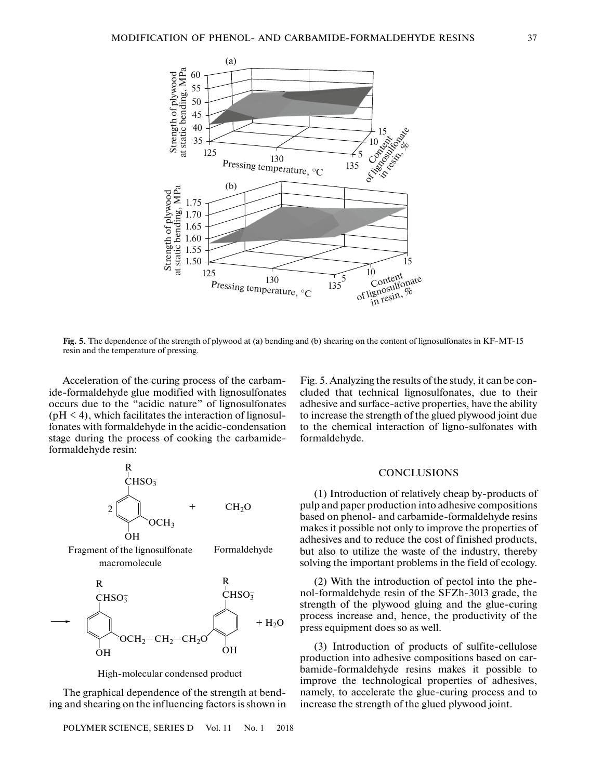

**Fig. 5.** The dependence of the strength of plywood at (a) bending and (b) shearing on the content of lignosulfonates in KF-MT-15 resin and the temperature of pressing.

Acceleration of the curing process of the carbamide-formaldehyde glue modified with lignosulfonates occurs due to the "acidic nature" of lignosulfonates  $(pH < 4)$ , which facilitates the interaction of lignosulfonates with formaldehyde in the acidic-condensation stage during the process of cooking the carbamideformaldehyde resin:



Fragment of the lignosulfonate macromolecule Formaldehyde



High-molecular condensed product

The graphical dependence of the strength at bending and shearing on the influencing factors is shown in

POLYMER SCIENCE, SERIES D Vol. 11 No. 1 2018

Fig. 5. Analyzing the results of the study, it can be concluded that technical lignosulfonates, due to their adhesive and surface-active properties, have the ability to increase the strength of the glued plywood joint due to the chemical interaction of ligno-sulfonates with formaldehyde.

#### **CONCLUSIONS**

(1) Introduction of relatively cheap by-products of pulp and paper production into adhesive compositions based on phenol- and carbamide-formaldehyde resins makes it possible not only to improve the properties of adhesives and to reduce the cost of finished products, but also to utilize the waste of the industry, thereby solving the important problems in the field of ecology.

(2) With the introduction of pectol into the phenol-formaldehyde resin of the SFZh-3013 grade, the strength of the plywood gluing and the glue-curing process increase and, hence, the productivity of the press equipment does so as well.

(3) Introduction of products of sulfite-cellulose production into adhesive compositions based on carbamide-formaldehyde resins makes it possible to improve the technological properties of adhesives, namely, to accelerate the glue-curing process and to increase the strength of the glued plywood joint.